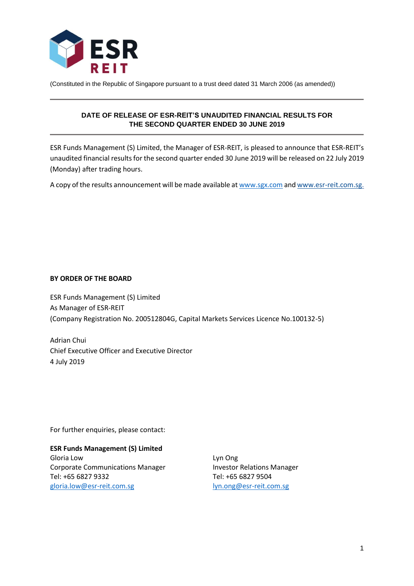

(Constituted in the Republic of Singapore pursuant to a trust deed dated 31 March 2006 (as amended))

# **DATE OF RELEASE OF ESR-REIT'S UNAUDITED FINANCIAL RESULTS FOR THE SECOND QUARTER ENDED 30 JUNE 2019**

ESR Funds Management (S) Limited, the Manager of ESR-REIT, is pleased to announce that ESR-REIT's unaudited financial results for the second quarter ended 30 June 2019 will be released on 22 July 2019 (Monday) after trading hours.

A copy of the results announcement will be made available a[t www.sgx.com](http://www.sgx.com/) an[d www.esr-reit.com.sg.](http://www.esr-reit.com.sg/)

## **BY ORDER OF THE BOARD**

ESR Funds Management (S) Limited As Manager of ESR-REIT (Company Registration No. 200512804G, Capital Markets Services Licence No.100132-5)

Adrian Chui Chief Executive Officer and Executive Director 4 July 2019

For further enquiries, please contact:

**ESR Funds Management (S) Limited** Gloria Low Corporate Communications Manager Tel: +65 6827 9332 [gloria.low@esr-reit.com.sg](mailto:gloria.low@esr-reit.com.sg)

Lyn Ong Investor Relations Manager Tel: +65 6827 9504 [lyn.ong@esr-reit.com.sg](mailto:lyn.ong@esr-reit.com.sg)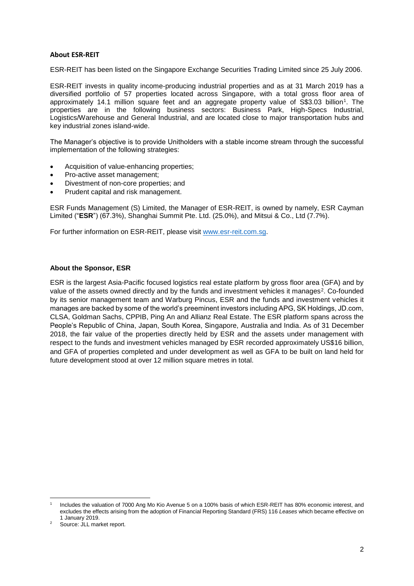### **About ESR-REIT**

ESR-REIT has been listed on the Singapore Exchange Securities Trading Limited since 25 July 2006.

ESR-REIT invests in quality income-producing industrial properties and as at 31 March 2019 has a diversified portfolio of 57 properties located across Singapore, with a total gross floor area of approximately 14.1 million square feet and an aggregate property value of S\$3.03 billion<sup>1</sup>. The properties are in the following business sectors: Business Park, High-Specs Industrial, Logistics/Warehouse and General Industrial, and are located close to major transportation hubs and key industrial zones island-wide.

The Manager's objective is to provide Unitholders with a stable income stream through the successful implementation of the following strategies:

- Acquisition of value-enhancing properties;
- Pro-active asset management;
- Divestment of non-core properties; and
- Prudent capital and risk management.

ESR Funds Management (S) Limited, the Manager of ESR-REIT, is owned by namely, ESR Cayman Limited ("**ESR**") (67.3%), Shanghai Summit Pte. Ltd. (25.0%), and Mitsui & Co., Ltd (7.7%).

For further information on ESR-REIT, please visit [www.esr-reit.com.sg.](http://www.esr-reit.com.sg/)

### **About the Sponsor, ESR**

ESR is the largest Asia-Pacific focused logistics real estate platform by gross floor area (GFA) and by value of the assets owned directly and by the funds and investment vehicles it manages<sup>2</sup>. Co-founded by its senior management team and Warburg Pincus, ESR and the funds and investment vehicles it manages are backed by some of the world's preeminent investors including APG, SK Holdings, JD.com, CLSA, Goldman Sachs, CPPIB, Ping An and Allianz Real Estate. The ESR platform spans across the People's Republic of China, Japan, South Korea, Singapore, Australia and India. As of 31 December 2018, the fair value of the properties directly held by ESR and the assets under management with respect to the funds and investment vehicles managed by ESR recorded approximately US\$16 billion, and GFA of properties completed and under development as well as GFA to be built on land held for future development stood at over 12 million square metres in total.

**.** 

<sup>1</sup> Includes the valuation of 7000 Ang Mo Kio Avenue 5 on a 100% basis of which ESR-REIT has 80% economic interest, and excludes the effects arising from the adoption of Financial Reporting Standard (FRS) 116 *Leases* which became effective on 1 January 2019.

Source: JLL market report.